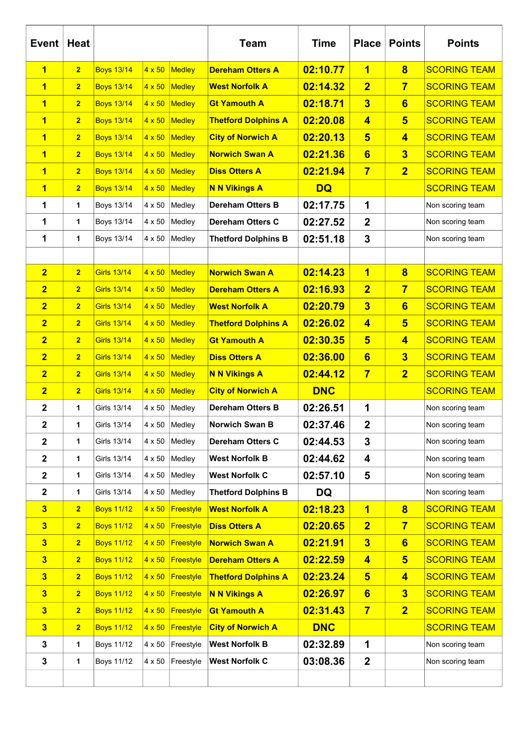| <b>Event</b>            | <b>Heat</b>    |                    |               |                  | <b>Team</b>                | <b>Time</b> | <b>Place</b>            | <b>Points</b>           | <b>Points</b>       |
|-------------------------|----------------|--------------------|---------------|------------------|----------------------------|-------------|-------------------------|-------------------------|---------------------|
| 1                       | $\overline{2}$ | <b>Boys 13/14</b>  | $4 \times 50$ | Medley           | <b>Dereham Otters A</b>    | 02:10.77    | 1                       | $\overline{\mathbf{8}}$ | <b>SCORING TEAM</b> |
| $\overline{\mathbf{1}}$ | $\overline{2}$ | <b>Boys 13/14</b>  | $4 \times 50$ | Medley           | <b>West Norfolk A</b>      | 02:14.32    | $\overline{2}$          | $\overline{7}$          | <b>SCORING TEAM</b> |
| $\overline{\mathbf{1}}$ | $\overline{2}$ | <b>Boys 13/14</b>  | $4 \times 50$ | Medley           | <b>Gt Yamouth A</b>        | 02:18.71    | $\overline{\mathbf{3}}$ | 6                       | <b>SCORING TEAM</b> |
| $\overline{\mathbf{1}}$ | $\overline{2}$ | <b>Boys 13/14</b>  | $4 \times 50$ | Medley           | <b>Thetford Dolphins A</b> | 02:20.08    | $\overline{4}$          | $5\overline{5}$         | <b>SCORING TEAM</b> |
| $\overline{\mathbf{1}}$ | $\overline{2}$ | <b>Boys 13/14</b>  | $4 \times 50$ | Medley           | <b>City of Norwich A</b>   | 02:20.13    | $5\phantom{1}$          | $\overline{\mathbf{4}}$ | <b>SCORING TEAM</b> |
| 1                       | $\overline{2}$ | <b>Boys 13/14</b>  | $4 \times 50$ | Medley           | <b>Norwich Swan A</b>      | 02:21.36    | $6\phantom{1}$          | $\overline{\mathbf{3}}$ | <b>SCORING TEAM</b> |
| 1                       | $\overline{2}$ | <b>Boys 13/14</b>  | $4 \times 50$ | Medley           | <b>Diss Otters A</b>       | 02:21.94    | $\overline{7}$          | $\overline{2}$          | <b>SCORING TEAM</b> |
| $\overline{\mathbf{1}}$ | $\overline{2}$ | <b>Boys 13/14</b>  | $4 \times 50$ | Medley           | <b>N N Vikings A</b>       | <b>DQ</b>   |                         |                         | <b>SCORING TEAM</b> |
| 1                       | 1              | Boys 13/14         | 4 x 50        | Medley           | <b>Dereham Otters B</b>    | 02:17.75    | 1                       |                         | Non scoring team    |
| 1                       | 1              | Boys 13/14         | 4 x 50        | Medley           | <b>Dereham Otters C</b>    | 02:27.52    | $\boldsymbol{2}$        |                         | Non scoring team    |
| 1                       | 1              | Boys 13/14         | 4 x 50        | Medley           | <b>Thetford Dolphins B</b> | 02:51.18    | 3                       |                         | Non scoring team    |
|                         |                |                    |               |                  |                            |             |                         |                         |                     |
| $\overline{2}$          | $\overline{2}$ | <b>Girls 13/14</b> | $4 \times 50$ | Medley           | <b>Norwich Swan A</b>      | 02:14.23    | $\overline{\mathbf{1}}$ | $\overline{\mathbf{8}}$ | <b>SCORING TEAM</b> |
| $\overline{2}$          | $\overline{2}$ | <b>Girls 13/14</b> | $4 \times 50$ | Medley           | <b>Dereham Otters A</b>    | 02:16.93    | $\overline{2}$          | $\overline{7}$          | <b>SCORING TEAM</b> |
| $\overline{2}$          | $\overline{2}$ | <b>Girls 13/14</b> | $4 \times 50$ | Medley           | <b>West Norfolk A</b>      | 02:20.79    | $\overline{\mathbf{3}}$ | 6                       | <b>SCORING TEAM</b> |
| $\overline{2}$          | $\overline{2}$ | <b>Girls 13/14</b> | $4 \times 50$ | Medley           | <b>Thetford Dolphins A</b> | 02:26.02    | $\overline{\mathbf{4}}$ | $5\phantom{1}$          | <b>SCORING TEAM</b> |
| $\overline{2}$          | $\overline{2}$ | <b>Girls 13/14</b> | $4 \times 50$ | Medley           | <b>Gt Yamouth A</b>        | 02:30.35    | $5\phantom{1}$          | $\overline{\mathbf{4}}$ | <b>SCORING TEAM</b> |
| $\overline{2}$          | $\overline{2}$ | <b>Girls 13/14</b> | $4 \times 50$ | Medley           | <b>Diss Otters A</b>       | 02:36.00    | $6\phantom{1}$          | $\overline{\mathbf{3}}$ | <b>SCORING TEAM</b> |
| $\overline{2}$          | $\overline{2}$ | <b>Girls 13/14</b> | $4 \times 50$ | Medley           | <b>N N Vikings A</b>       | 02:44.12    | $\overline{7}$          | $\overline{2}$          | <b>SCORING TEAM</b> |
| $\overline{2}$          | $\overline{2}$ | <b>Girls 13/14</b> | $4 \times 50$ | Medley           | <b>City of Norwich A</b>   | <b>DNC</b>  |                         |                         | <b>SCORING TEAM</b> |
| $\mathbf 2$             | 1              | Girls 13/14        | 4 x 50        | Medley           | <b>Dereham Otters B</b>    | 02:26.51    | 1                       |                         | Non scoring team    |
| 2                       | 1              | Girls 13/14        | 4 x 50        | Medley           | Norwich Swan B             | 02:37.46    | $\mathbf{z}$            |                         | Non scoring team    |
| $\mathbf{2}$            | 1              | <b>Girls 13/14</b> | 4 x 50        | Medley           | Dereham Otters C           | 02:44.53    | 3                       |                         | Non scoring team    |
| $\mathbf{2}$            | 1              | Girls 13/14        | 4 x 50        | Medley           | <b>West Norfolk B</b>      | 02:44.62    | 4                       |                         | Non scoring team    |
| $\mathbf 2$             | 1              | <b>Girls 13/14</b> | 4 x 50        | Medley           | <b>West Norfolk C</b>      | 02:57.10    | 5                       |                         | Non scoring team    |
| $\mathbf{2}$            | 1              | <b>Girls 13/14</b> | 4 x 50        | Medley           | <b>Thetford Dolphins B</b> | <b>DQ</b>   |                         |                         | Non scoring team    |
| $\overline{\mathbf{3}}$ | $\overline{2}$ | <b>Boys 11/12</b>  | $4 \times 50$ | Freestyle        | <b>West Norfolk A</b>      | 02:18.23    | 1                       | $\overline{\mathbf{8}}$ | <b>SCORING TEAM</b> |
| $\overline{\mathbf{3}}$ | $\overline{2}$ | <b>Boys 11/12</b>  | $4 \times 50$ | <b>Freestyle</b> | <b>Diss Otters A</b>       | 02:20.65    | $\overline{2}$          | $\overline{7}$          | <b>SCORING TEAM</b> |
| $\overline{\mathbf{3}}$ | $\overline{2}$ | <b>Boys 11/12</b>  | $4 \times 50$ | Freestyle        | <b>Norwich Swan A</b>      | 02:21.91    | $\overline{\mathbf{3}}$ | $6\phantom{1}$          | <b>SCORING TEAM</b> |
| $\overline{\mathbf{3}}$ | $\overline{2}$ | <b>Boys 11/12</b>  | $4 \times 50$ | Freestyle        | <b>Dereham Otters A</b>    | 02:22.59    | 4                       | $5\phantom{1}$          | <b>SCORING TEAM</b> |
| $\overline{\mathbf{3}}$ | $\overline{2}$ | <b>Boys 11/12</b>  | $4 \times 50$ | Freestyle        | <b>Thetford Dolphins A</b> | 02:23.24    | $5\phantom{1}$          | $\overline{\mathbf{4}}$ | <b>SCORING TEAM</b> |
| $\overline{\mathbf{3}}$ | $\overline{2}$ | <b>Boys 11/12</b>  | $4 \times 50$ | Freestyle        | <b>N N Vikings A</b>       | 02:26.97    | 6                       | $\overline{\mathbf{3}}$ | <b>SCORING TEAM</b> |
| $\overline{\mathbf{3}}$ | $\overline{2}$ | <b>Boys 11/12</b>  | $4 \times 50$ | Freestyle        | <b>Gt Yamouth A</b>        | 02:31.43    | $\overline{7}$          | $\overline{2}$          | <b>SCORING TEAM</b> |
| $\overline{\mathbf{3}}$ | $\overline{2}$ | <b>Boys 11/12</b>  | $4 \times 50$ | Freestyle        | <b>City of Norwich A</b>   | <b>DNC</b>  |                         |                         | <b>SCORING TEAM</b> |
| 3                       | 1              | <b>Boys 11/12</b>  | 4 x 50        | Freestyle        | <b>West Norfolk B</b>      | 02:32.89    | 1                       |                         | Non scoring team    |
| 3                       | 1              | <b>Boys 11/12</b>  | 4 x 50        | Freestyle        | <b>West Norfolk C</b>      | 03:08.36    | $\boldsymbol{2}$        |                         | Non scoring team    |
|                         |                |                    |               |                  |                            |             |                         |                         |                     |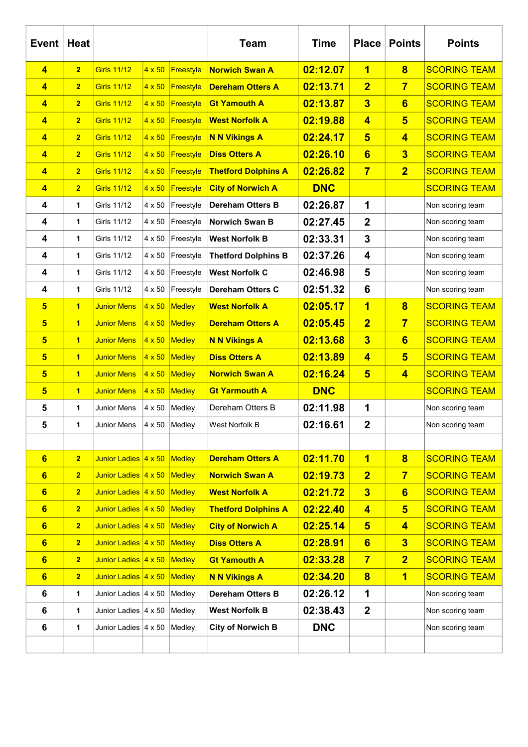| <b>Event</b>            | <b>Heat</b>             |                      |               |                      | <b>Team</b>                | <b>Time</b> | <b>Place</b>            | <b>Points</b>           | <b>Points</b>       |
|-------------------------|-------------------------|----------------------|---------------|----------------------|----------------------------|-------------|-------------------------|-------------------------|---------------------|
| 4                       | $\overline{2}$          | <b>Girls 11/12</b>   | $4 \times 50$ | Freestyle            | <b>Norwich Swan A</b>      | 02:12.07    | 1                       | $\bf{8}$                | <b>SCORING TEAM</b> |
| 4                       | $\overline{2}$          | <b>Girls 11/12</b>   | $4 \times 50$ | Freestyle            | <b>Dereham Otters A</b>    | 02:13.71    | $\overline{2}$          | $\overline{7}$          | <b>SCORING TEAM</b> |
| 4                       | $\overline{2}$          | <b>Girls 11/12</b>   | $4 \times 50$ | Freestyle            | <b>Gt Yamouth A</b>        | 02:13.87    | $\overline{\mathbf{3}}$ | 6                       | <b>SCORING TEAM</b> |
| 4                       | $\overline{2}$          | <b>Girls 11/12</b>   | $4 \times 50$ | <b>Freestyle</b>     | <b>West Norfolk A</b>      | 02:19.88    | $\overline{\mathbf{4}}$ | $5\overline{5}$         | <b>SCORING TEAM</b> |
| 4                       | $\overline{2}$          | <b>Girls 11/12</b>   | $4 \times 50$ | Freestyle            | <b>N N Vikings A</b>       | 02:24.17    | $5\phantom{1}$          | $\overline{\mathbf{4}}$ | <b>SCORING TEAM</b> |
| 4                       | $\overline{2}$          | <b>Girls 11/12</b>   | $4 \times 50$ | Freestyle            | <b>Diss Otters A</b>       | 02:26.10    | $6\phantom{1}$          | $\overline{\mathbf{3}}$ | <b>SCORING TEAM</b> |
| 4                       | $\overline{2}$          | <b>Girls 11/12</b>   | $4 \times 50$ | Freestyle            | <b>Thetford Dolphins A</b> | 02:26.82    | $\overline{7}$          | $\overline{2}$          | <b>SCORING TEAM</b> |
| 4                       | $\overline{2}$          | <b>Girls 11/12</b>   | $4 \times 50$ | Freestyle            | <b>City of Norwich A</b>   | <b>DNC</b>  |                         |                         | <b>SCORING TEAM</b> |
| 4                       | 1                       | Girls 11/12          | 4 x 50        | Freestyle            | <b>Dereham Otters B</b>    | 02:26.87    | 1                       |                         | Non scoring team    |
| 4                       | 1                       | Girls 11/12          | 4 x 50        | Freestyle            | <b>Norwich Swan B</b>      | 02:27.45    | $\boldsymbol{2}$        |                         | Non scoring team    |
| 4                       | 1                       | Girls 11/12          | 4 x 50        | Freestyle            | <b>West Norfolk B</b>      | 02:33.31    | 3                       |                         | Non scoring team    |
| 4                       | 1                       | Girls 11/12          | 4 x 50        | Freestyle            | <b>Thetford Dolphins B</b> | 02:37.26    | 4                       |                         | Non scoring team    |
| 4                       | 1                       | Girls 11/12          | 4 x 50        | Freestyle            | <b>West Norfolk C</b>      | 02:46.98    | 5                       |                         | Non scoring team    |
| 4                       | 1                       | Girls 11/12          | 4 x 50        | Freestyle            | <b>Dereham Otters C</b>    | 02:51.32    | 6                       |                         | Non scoring team    |
| 5                       | $\overline{\mathbf{1}}$ | <b>Junior Mens</b>   | $4 \times 50$ | Medley               | <b>West Norfolk A</b>      | 02:05.17    | 1                       | $\overline{\mathbf{8}}$ | <b>SCORING TEAM</b> |
| $\overline{\mathbf{5}}$ | 1                       | <b>Junior Mens</b>   | $4 \times 50$ | Medley               | <b>Dereham Otters A</b>    | 02:05.45    | $\overline{2}$          | $\overline{7}$          | <b>SCORING TEAM</b> |
| 5                       | 1                       | <b>Junior Mens</b>   | $4 \times 50$ | Medley               | <b>N N Vikings A</b>       | 02:13.68    | $\overline{\mathbf{3}}$ | 6                       | <b>SCORING TEAM</b> |
| $\overline{\mathbf{5}}$ | $\mathbf{1}$            | <b>Junior Mens</b>   | $4 \times 50$ | Medley               | <b>Diss Otters A</b>       | 02:13.89    | $\overline{\mathbf{4}}$ | $5\overline{5}$         | <b>SCORING TEAM</b> |
| $\overline{\mathbf{5}}$ | $\overline{1}$          | <b>Junior Mens</b>   | $4 \times 50$ | Medley               | <b>Norwich Swan A</b>      | 02:16.24    | $5\overline{)}$         | $\overline{\mathbf{4}}$ | <b>SCORING TEAM</b> |
| $\overline{\mathbf{5}}$ | $\overline{1}$          | <b>Junior Mens</b>   | $4 \times 50$ | Medley               | <b>Gt Yarmouth A</b>       | <b>DNC</b>  |                         |                         | <b>SCORING TEAM</b> |
| 5                       | 1                       | Junior Mens          | 4 x 50        | Medley               | Dereham Otters B           | 02:11.98    | 1                       |                         | Non scoring team    |
| 5                       | 1                       | Junior Mens          |               | $4 \times 50$ Medley | West Norfolk B             | 02:16.61    | $\mathbf 2$             |                         | Non scoring team    |
|                         |                         |                      |               |                      |                            |             |                         |                         |                     |
| $6\phantom{a}$          | 2 <sub>2</sub>          | Junior Ladies 4 x 50 |               | Medley               | <b>Dereham Otters A</b>    | 02:11.70    | 1                       | $\bf{8}$                | <b>SCORING TEAM</b> |
| $6\phantom{a}$          | $\overline{2}$          | Junior Ladies 4 x 50 |               | Medley               | <b>Norwich Swan A</b>      | 02:19.73    | $\overline{2}$          | $\overline{7}$          | <b>SCORING TEAM</b> |
| $6\phantom{a}$          | $\overline{2}$          | Junior Ladies 4 x 50 |               | Medley               | <b>West Norfolk A</b>      | 02:21.72    | $\overline{\mathbf{3}}$ | 6                       | <b>SCORING TEAM</b> |
| $6\phantom{a}$          | $\overline{2}$          | Junior Ladies 4 x 50 |               | Medley               | <b>Thetford Dolphins A</b> | 02:22.40    | $\overline{\mathbf{4}}$ | $5\overline{5}$         | <b>SCORING TEAM</b> |
| $6\phantom{a}$          | $\overline{2}$          | Junior Ladies 4 x 50 |               | Medley               | <b>City of Norwich A</b>   | 02:25.14    | $5\overline{)}$         | $\overline{\mathbf{4}}$ | <b>SCORING TEAM</b> |
| $6\phantom{a}$          | $\overline{2}$          | Junior Ladies 4 x 50 |               | Medley               | <b>Diss Otters A</b>       | 02:28.91    | 6                       | $\overline{\mathbf{3}}$ | <b>SCORING TEAM</b> |
| $6\phantom{a}$          | $\overline{2}$          | Junior Ladies 4 x 50 |               | Medley               | <b>Gt Yamouth A</b>        | 02:33.28    | $\overline{7}$          | $\overline{2}$          | <b>SCORING TEAM</b> |
| $6\phantom{a}$          | $\overline{2}$          | Junior Ladies 4 x 50 |               | Medley               | <b>N N Vikings A</b>       | 02:34.20    | $\overline{\mathbf{8}}$ | $\overline{\mathbf{1}}$ | <b>SCORING TEAM</b> |
| 6                       | 1                       | Junior Ladies 4 x 50 |               | Medley               | <b>Dereham Otters B</b>    | 02:26.12    | 1                       |                         | Non scoring team    |
| 6                       | 1                       | Junior Ladies 4 x 50 |               | Medley               | <b>West Norfolk B</b>      | 02:38.43    | $\boldsymbol{2}$        |                         | Non scoring team    |
| 6                       | 1                       | Junior Ladies 4 x 50 |               | Medley               | <b>City of Norwich B</b>   | <b>DNC</b>  |                         |                         | Non scoring team    |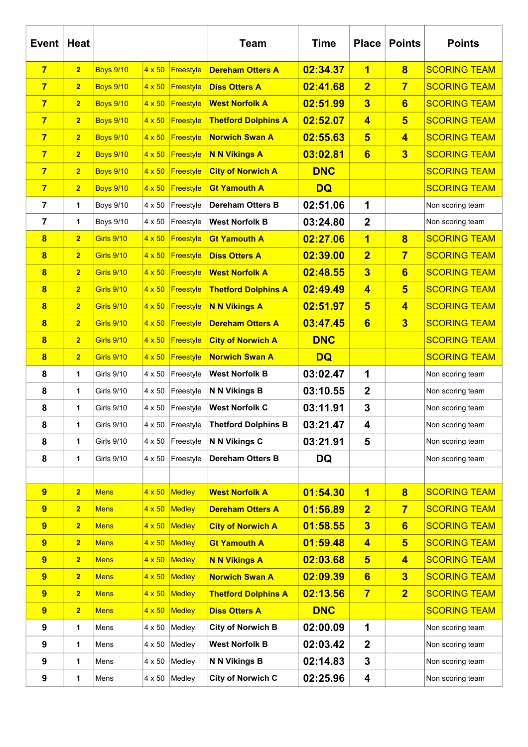| <b>Event</b>            | Heat           |                   |               |           | <b>Team</b>                | <b>Time</b> | <b>Place</b>            | <b>Points</b>           | <b>Points</b>       |
|-------------------------|----------------|-------------------|---------------|-----------|----------------------------|-------------|-------------------------|-------------------------|---------------------|
| $\overline{7}$          | $\overline{2}$ | <b>Boys 9/10</b>  | $4 \times 50$ | Freestyle | <b>Dereham Otters A</b>    | 02:34.37    | 1                       | $\overline{\mathbf{8}}$ | <b>SCORING TEAM</b> |
| $\overline{7}$          | $\overline{2}$ | <b>Boys 9/10</b>  | $4 \times 50$ | Freestyle | <b>Diss Otters A</b>       | 02:41.68    | $\overline{2}$          | $\overline{7}$          | <b>SCORING TEAM</b> |
| $\overline{7}$          | $\overline{2}$ | <b>Boys 9/10</b>  | $4 \times 50$ | Freestyle | <b>West Norfolk A</b>      | 02:51.99    | $\overline{\mathbf{3}}$ | 6                       | <b>SCORING TEAM</b> |
| $\overline{7}$          | $\overline{2}$ | <b>Boys 9/10</b>  | $4 \times 50$ | Freestyle | <b>Thetford Dolphins A</b> | 02:52.07    | $\overline{\mathbf{4}}$ | $5\phantom{1}$          | <b>SCORING TEAM</b> |
| $\overline{7}$          | $\overline{2}$ | <b>Boys 9/10</b>  | $4 \times 50$ | Freestyle | <b>Norwich Swan A</b>      | 02:55.63    | $5\phantom{1}$          | $\overline{\mathbf{4}}$ | <b>SCORING TEAM</b> |
| 7                       | $\overline{2}$ | <b>Boys 9/10</b>  | $4 \times 50$ | Freestyle | <b>N N Vikings A</b>       | 03:02.81    | $6\phantom{1}$          | $\overline{\mathbf{3}}$ | <b>SCORING TEAM</b> |
| $\overline{7}$          | $\overline{2}$ | <b>Boys 9/10</b>  | $4 \times 50$ | Freestyle | <b>City of Norwich A</b>   | <b>DNC</b>  |                         |                         | <b>SCORING TEAM</b> |
| $\overline{7}$          | $\overline{2}$ | <b>Boys 9/10</b>  | $4 \times 50$ | Freestyle | <b>Gt Yamouth A</b>        | <b>DQ</b>   |                         |                         | <b>SCORING TEAM</b> |
| 7                       | 1              | <b>Boys 9/10</b>  | 4 x 50        | Freestyle | <b>Dereham Otters B</b>    | 02:51.06    | 1                       |                         | Non scoring team    |
| 7                       | 1              | <b>Boys 9/10</b>  | 4 x 50        | Freestyle | <b>West Norfolk B</b>      | 03:24.80    | $\overline{2}$          |                         | Non scoring team    |
| $\overline{\mathbf{8}}$ | $\overline{2}$ | <b>Girls 9/10</b> | $4 \times 50$ | Freestyle | <b>Gt Yamouth A</b>        | 02:27.06    | $\overline{\mathbf{1}}$ | $\overline{\mathbf{8}}$ | <b>SCORING TEAM</b> |
| 8                       | $\overline{2}$ | <b>Girls 9/10</b> | $4 \times 50$ | Freestyle | <b>Diss Otters A</b>       | 02:39.00    | $\overline{\mathbf{2}}$ | $\overline{7}$          | <b>SCORING TEAM</b> |
| $\overline{\mathbf{8}}$ | $\overline{2}$ | <b>Girls 9/10</b> | $4 \times 50$ | Freestyle | <b>West Norfolk A</b>      | 02:48.55    | $\overline{\mathbf{3}}$ | 6                       | <b>SCORING TEAM</b> |
| 8                       | $\overline{2}$ | <b>Girls 9/10</b> | $4 \times 50$ | Freestyle | <b>Thetford Dolphins A</b> | 02:49.49    | $\overline{\mathbf{4}}$ | $5\overline{5}$         | <b>SCORING TEAM</b> |
| 8                       | $\overline{2}$ | <b>Girls 9/10</b> | $4 \times 50$ | Freestyle | <b>N N Vikings A</b>       | 02:51.97    | $5\phantom{1}$          | $\overline{\mathbf{4}}$ | <b>SCORING TEAM</b> |
| $\overline{\mathbf{8}}$ | $\overline{2}$ | <b>Girls 9/10</b> | $4 \times 50$ | Freestyle | <b>Dereham Otters A</b>    | 03:47.45    | $6\phantom{1}$          | $\overline{\mathbf{3}}$ | <b>SCORING TEAM</b> |
| 8                       | $\overline{2}$ | <b>Girls 9/10</b> | $4 \times 50$ | Freestyle | <b>City of Norwich A</b>   | <b>DNC</b>  |                         |                         | <b>SCORING TEAM</b> |
| 8                       | $\overline{2}$ | <b>Girls 9/10</b> | $4 \times 50$ | Freestyle | <b>Norwich Swan A</b>      | <b>DQ</b>   |                         |                         | <b>SCORING TEAM</b> |
| 8                       | 1              | Girls 9/10        | 4 x 50        | Freestyle | <b>West Norfolk B</b>      | 03:02.47    | 1                       |                         | Non scoring team    |
| 8                       | 1              | <b>Girls 9/10</b> | 4 x 50        | Freestyle | N N Vikings B              | 03:10.55    | $\overline{2}$          |                         | Non scoring team    |
| 8                       | 1              | Girls 9/10        | 4 x 50        | Freestyle | <b>West Norfolk C</b>      | 03:11.91    | 3                       |                         | Non scoring team    |
| 8                       | 1              | Girls 9/10        | 4 x 50        | Freestyle | <b>Thetford Dolphins B</b> | 03:21.47    | 4                       |                         | Non scoring team    |
| 8                       | 1              | <b>Girls 9/10</b> | 4 x 50        | Freestyle | N N Vikings C              | 03:21.91    | 5                       |                         | Non scoring team    |
| 8                       | 1              | <b>Girls 9/10</b> | 4 x 50        | Freestyle | <b>Dereham Otters B</b>    | <b>DQ</b>   |                         |                         | Non scoring team    |
|                         |                |                   |               |           |                            |             |                         |                         |                     |
| $\overline{9}$          | $\overline{2}$ | <b>Mens</b>       | $4 \times 50$ | Medley    | <b>West Norfolk A</b>      | 01:54.30    | 1                       | $\overline{\mathbf{8}}$ | <b>SCORING TEAM</b> |
| 9                       | $\overline{2}$ | <b>Mens</b>       | $4 \times 50$ | Medley    | <b>Dereham Otters A</b>    | 01:56.89    | $\overline{2}$          | $\overline{7}$          | <b>SCORING TEAM</b> |
| $\overline{9}$          | $\overline{2}$ | <b>Mens</b>       | $4 \times 50$ | Medley    | <b>City of Norwich A</b>   | 01:58.55    | $\overline{\mathbf{3}}$ | 6                       | <b>SCORING TEAM</b> |
| 9                       | $\overline{2}$ | <b>Mens</b>       | $4 \times 50$ | Medley    | <b>Gt Yamouth A</b>        | 01:59.48    | $\overline{\mathbf{4}}$ | $5\overline{5}$         | <b>SCORING TEAM</b> |
| 9                       | $\overline{2}$ | <b>Mens</b>       | $4 \times 50$ | Medley    | <b>N N Vikings A</b>       | 02:03.68    | $5\overline{)}$         | $\overline{\mathbf{4}}$ | <b>SCORING TEAM</b> |
| 9                       | $\overline{2}$ | <b>Mens</b>       | $4 \times 50$ | Medley    | <b>Norwich Swan A</b>      | 02:09.39    | $6\phantom{1}$          | $\overline{\mathbf{3}}$ | <b>SCORING TEAM</b> |
| 9                       | $\overline{2}$ | <b>Mens</b>       | $4 \times 50$ | Medley    | <b>Thetford Dolphins A</b> | 02:13.56    | $\overline{7}$          | $\overline{2}$          | <b>SCORING TEAM</b> |
| 9                       | $\overline{2}$ | <b>Mens</b>       | $4 \times 50$ | Medley    | <b>Diss Otters A</b>       | <b>DNC</b>  |                         |                         | <b>SCORING TEAM</b> |
| 9                       | 1              | Mens              | 4 x 50        | Medley    | <b>City of Norwich B</b>   | 02:00.09    | 1                       |                         | Non scoring team    |
| 9                       | 1              | Mens              | 4 x 50        | Medley    | <b>West Norfolk B</b>      | 02:03.42    | $\mathbf 2$             |                         | Non scoring team    |
| $\boldsymbol{9}$        | 1              | Mens              | 4 x 50        | Medley    | N N Vikings B              | 02:14.83    | 3                       |                         | Non scoring team    |
| 9                       | 1              | Mens              | 4 x 50        | Medley    | <b>City of Norwich C</b>   | 02:25.96    | 4                       |                         | Non scoring team    |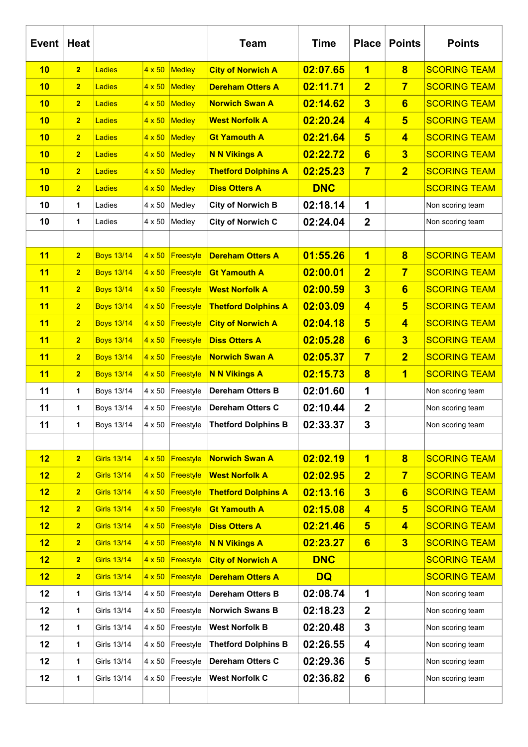| Event | Heat           |                    |               |                  | <b>Team</b>                | <b>Time</b> | <b>Place</b>            | <b>Points</b>           | <b>Points</b>       |
|-------|----------------|--------------------|---------------|------------------|----------------------------|-------------|-------------------------|-------------------------|---------------------|
| 10    | 2              | Ladies             | $4 \times 50$ | Medley           | <b>City of Norwich A</b>   | 02:07.65    | 1                       | $\overline{\mathbf{8}}$ | <b>SCORING TEAM</b> |
| 10    | 2              | Ladies             | $4 \times 50$ | Medley           | <b>Dereham Otters A</b>    | 02:11.71    | $\overline{2}$          | $\overline{7}$          | <b>SCORING TEAM</b> |
| 10    | 2              | Ladies             | $4 \times 50$ | Medley           | <b>Norwich Swan A</b>      | 02:14.62    | $\overline{\mathbf{3}}$ | 6                       | <b>SCORING TEAM</b> |
| 10    | $\overline{2}$ | Ladies             | $4 \times 50$ | Medley           | <b>West Norfolk A</b>      | 02:20.24    | $\overline{\mathbf{4}}$ | $5\phantom{1}$          | <b>SCORING TEAM</b> |
| 10    | 2              | Ladies             | $4 \times 50$ | Medley           | <b>Gt Yamouth A</b>        | 02:21.64    | $5\overline{)}$         | $\overline{\mathbf{4}}$ | <b>SCORING TEAM</b> |
| 10    | 2              | Ladies             | $4 \times 50$ | Medley           | <b>N N Vikings A</b>       | 02:22.72    | $6\phantom{1}$          | $\overline{\mathbf{3}}$ | <b>SCORING TEAM</b> |
| 10    | 2 <sub>2</sub> | Ladies             | $4 \times 50$ | Medley           | <b>Thetford Dolphins A</b> | 02:25.23    | $\overline{7}$          | $\overline{2}$          | <b>SCORING TEAM</b> |
| 10    | 2              | Ladies             | $4 \times 50$ | Medley           | <b>Diss Otters A</b>       | <b>DNC</b>  |                         |                         | <b>SCORING TEAM</b> |
| 10    | 1              | Ladies             | 4 x 50        | Medley           | <b>City of Norwich B</b>   | 02:18.14    | 1                       |                         | Non scoring team    |
| 10    | 1              | Ladies             | 4 x 50        | Medley           | <b>City of Norwich C</b>   | 02:24.04    | $\mathbf 2$             |                         | Non scoring team    |
|       |                |                    |               |                  |                            |             |                         |                         |                     |
| 11    | 2              | <b>Boys 13/14</b>  | $4 \times 50$ | <b>Freestyle</b> | <b>Dereham Otters A</b>    | 01:55.26    | 1                       | $\overline{\mathbf{8}}$ | <b>SCORING TEAM</b> |
| 11    | 2              | <b>Boys 13/14</b>  | $4 \times 50$ | Freestyle        | <b>Gt Yamouth A</b>        | 02:00.01    | $\overline{2}$          | $\overline{7}$          | <b>SCORING TEAM</b> |
| 11    | $\overline{2}$ | <b>Boys 13/14</b>  | $4 \times 50$ | <b>Freestyle</b> | <b>West Norfolk A</b>      | 02:00.59    | $\overline{\mathbf{3}}$ | 6                       | <b>SCORING TEAM</b> |
| 11    | $\overline{2}$ | <b>Boys 13/14</b>  | $4 \times 50$ | <b>Freestyle</b> | <b>Thetford Dolphins A</b> | 02:03.09    | $\overline{\mathbf{4}}$ | $5\overline{5}$         | <b>SCORING TEAM</b> |
| 11    | 2              | <b>Boys 13/14</b>  | $4 \times 50$ | Freestyle        | <b>City of Norwich A</b>   | 02:04.18    | $5\phantom{1}$          | $\overline{\mathbf{4}}$ | <b>SCORING TEAM</b> |
| 11    | 2              | <b>Boys 13/14</b>  | $4 \times 50$ | Freestyle        | <b>Diss Otters A</b>       | 02:05.28    | $6\phantom{1}$          | $\overline{\mathbf{3}}$ | <b>SCORING TEAM</b> |
| 11    | 2              | <b>Boys 13/14</b>  | $4 \times 50$ | Freestyle        | <b>Norwich Swan A</b>      | 02:05.37    | $\overline{7}$          | $\overline{2}$          | <b>SCORING TEAM</b> |
| 11    | $\overline{2}$ | <b>Boys 13/14</b>  | $4 \times 50$ | <b>Freestyle</b> | <b>N N Vikings A</b>       | 02:15.73    | $\overline{\mathbf{8}}$ | $\overline{\mathbf{1}}$ | <b>SCORING TEAM</b> |
| 11    | $\mathbf{1}$   | Boys 13/14         | 4 x 50        | Freestyle        | <b>Dereham Otters B</b>    | 02:01.60    | 1                       |                         | Non scoring team    |
| 11    | 1              | Boys 13/14         | 4 x 50        | Freestyle        | <b>Dereham Otters C</b>    | 02:10.44    | $\boldsymbol{2}$        |                         | Non scoring team    |
| 11    | 1              | Boys 13/14         |               | 4 x 50 Freestyle | <b>Thetford Dolphins B</b> | 02:33.37    | 3                       |                         | Non scoring team    |
|       |                |                    |               |                  |                            |             |                         |                         |                     |
| 12    | 2              | <b>Girls 13/14</b> | $4 \times 50$ | Freestyle        | <b>Norwich Swan A</b>      | 02:02.19    | $\mathbf 1$             | $\overline{\mathbf{8}}$ | <b>SCORING TEAM</b> |
| 12    | $\overline{2}$ | Girls 13/14        | $4 \times 50$ | <b>Freestyle</b> | <b>West Norfolk A</b>      | 02:02.95    | $\overline{2}$          | $\overline{7}$          | <b>SCORING TEAM</b> |
| 12    | $\overline{2}$ | Girls 13/14        | $4 \times 50$ | Freestyle        | <b>Thetford Dolphins A</b> | 02:13.16    | $\overline{\mathbf{3}}$ | $6\phantom{1}$          | <b>SCORING TEAM</b> |
| 12    | 2 <sub>2</sub> | Girls 13/14        | $4 \times 50$ | Freestyle        | <b>Gt Yamouth A</b>        | 02:15.08    | $\overline{\mathbf{4}}$ | $5\phantom{1}$          | <b>SCORING TEAM</b> |
| 12    | 2 <sub>2</sub> | Girls 13/14        | $4 \times 50$ | Freestyle        | <b>Diss Otters A</b>       | 02:21.46    | $5\overline{)}$         | $\overline{\mathbf{4}}$ | <b>SCORING TEAM</b> |
| 12    | 2 <sub>2</sub> | Girls 13/14        | $4 \times 50$ | Freestyle        | <b>N N Vikings A</b>       | 02:23.27    | $6\phantom{a}$          | $\overline{\mathbf{3}}$ | <b>SCORING TEAM</b> |
| 12    | 2 <sub>2</sub> | Girls 13/14        | $4 \times 50$ | Freestyle        | <b>City of Norwich A</b>   | <b>DNC</b>  |                         |                         | <b>SCORING TEAM</b> |
| 12    | $\overline{2}$ | Girls 13/14        | $4 \times 50$ | Freestyle        | <b>Dereham Otters A</b>    | <b>DQ</b>   |                         |                         | <b>SCORING TEAM</b> |
| 12    | 1              | Girls 13/14        | 4 x 50        | Freestyle        | <b>Dereham Otters B</b>    | 02:08.74    | 1                       |                         | Non scoring team    |
| 12    | 1              | Girls 13/14        | 4 x 50        | Freestyle        | <b>Norwich Swans B</b>     | 02:18.23    | $\mathbf 2$             |                         | Non scoring team    |
| 12    | 1              | Girls 13/14        | 4 x 50        | Freestyle        | <b>West Norfolk B</b>      | 02:20.48    | 3                       |                         | Non scoring team    |
| 12    | 1              | Girls 13/14        | 4 x 50        | Freestyle        | <b>Thetford Dolphins B</b> | 02:26.55    | 4                       |                         | Non scoring team    |
| 12    | 1              | Girls 13/14        | 4 x 50        | Freestyle        | Dereham Otters C           | 02:29.36    | 5                       |                         | Non scoring team    |
| 12    | 1              | Girls 13/14        | 4 x 50        | Freestyle        | <b>West Norfolk C</b>      | 02:36.82    | 6                       |                         | Non scoring team    |
|       |                |                    |               |                  |                            |             |                         |                         |                     |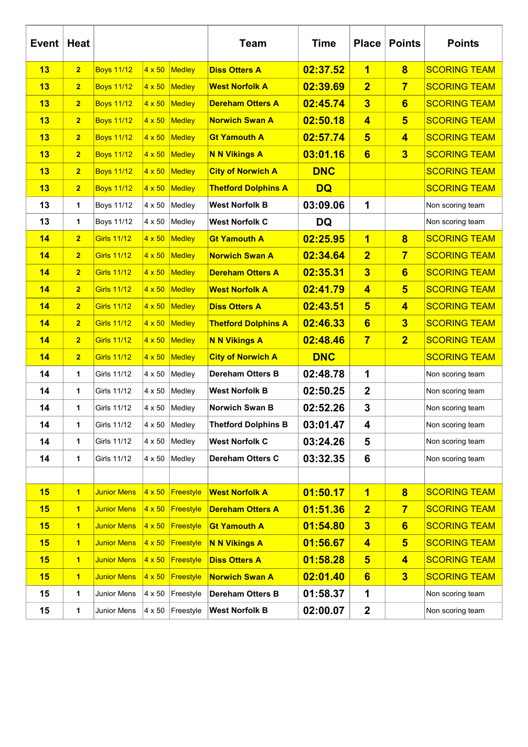| <b>Event</b> | <b>Heat</b>             |                    |               |               | <b>Team</b>                | <b>Time</b> | <b>Place</b>            | <b>Points</b>           | <b>Points</b>       |
|--------------|-------------------------|--------------------|---------------|---------------|----------------------------|-------------|-------------------------|-------------------------|---------------------|
| 13           | $\overline{2}$          | <b>Boys 11/12</b>  | $4 \times 50$ | <b>Medley</b> | <b>Diss Otters A</b>       | 02:37.52    | $\overline{\mathbf{1}}$ | $\overline{\mathbf{8}}$ | <b>SCORING TEAM</b> |
| 13           | $\overline{2}$          | <b>Boys 11/12</b>  | $4 \times 50$ | Medley        | <b>West Norfolk A</b>      | 02:39.69    | $\overline{2}$          | $\overline{7}$          | <b>SCORING TEAM</b> |
| 13           | $\overline{2}$          | <b>Boys 11/12</b>  | $4 \times 50$ | Medley        | <b>Dereham Otters A</b>    | 02:45.74    | $\overline{\mathbf{3}}$ | $6\phantom{1}$          | <b>SCORING TEAM</b> |
| 13           | $\overline{\mathbf{2}}$ | <b>Boys 11/12</b>  | $4 \times 50$ | Medley        | <b>Norwich Swan A</b>      | 02:50.18    | $\overline{\mathbf{4}}$ | $5\overline{)}$         | <b>SCORING TEAM</b> |
| 13           | $\overline{\mathbf{2}}$ | <b>Boys 11/12</b>  | $4 \times 50$ | Medley        | <b>Gt Yamouth A</b>        | 02:57.74    | $5\phantom{1}$          | $\overline{\mathbf{4}}$ | <b>SCORING TEAM</b> |
| 13           | $\overline{2}$          | <b>Boys 11/12</b>  | $4 \times 50$ | Medley        | <b>N N Vikings A</b>       | 03:01.16    | 6                       | $\overline{\mathbf{3}}$ | <b>SCORING TEAM</b> |
| 13           | $\overline{2}$          | <b>Boys 11/12</b>  | $4 \times 50$ | Medley        | <b>City of Norwich A</b>   | <b>DNC</b>  |                         |                         | <b>SCORING TEAM</b> |
| 13           | $\overline{2}$          | <b>Boys 11/12</b>  | $4 \times 50$ | Medley        | <b>Thetford Dolphins A</b> | <b>DQ</b>   |                         |                         | <b>SCORING TEAM</b> |
| 13           | 1                       | <b>Boys 11/12</b>  | 4 x 50        | Medley        | <b>West Norfolk B</b>      | 03:09.06    | 1                       |                         | Non scoring team    |
| 13           | 1                       | <b>Boys 11/12</b>  | 4 x 50        | Medley        | <b>West Norfolk C</b>      | <b>DQ</b>   |                         |                         | Non scoring team    |
| 14           | $\overline{2}$          | <b>Girls 11/12</b> | $4 \times 50$ | Medley        | <b>Gt Yamouth A</b>        | 02:25.95    | $\overline{\mathbf{1}}$ | $\overline{\mathbf{8}}$ | <b>SCORING TEAM</b> |
| 14           | $\overline{2}$          | <b>Girls 11/12</b> | $4 \times 50$ | Medley        | <b>Norwich Swan A</b>      | 02:34.64    | $\overline{2}$          | $\overline{7}$          | <b>SCORING TEAM</b> |
| 14           | $\overline{2}$          | <b>Girls 11/12</b> | $4 \times 50$ | Medley        | <b>Dereham Otters A</b>    | 02:35.31    | $\overline{\mathbf{3}}$ | $6\phantom{1}$          | <b>SCORING TEAM</b> |
| 14           | $\overline{2}$          | <b>Girls 11/12</b> | $4 \times 50$ | Medley        | <b>West Norfolk A</b>      | 02:41.79    | $\overline{\mathbf{4}}$ | $5\overline{5}$         | <b>SCORING TEAM</b> |
| 14           | $\overline{\mathbf{2}}$ | <b>Girls 11/12</b> | $4 \times 50$ | Medley        | <b>Diss Otters A</b>       | 02:43.51    | $5\phantom{1}$          | $\overline{\mathbf{4}}$ | <b>SCORING TEAM</b> |
| 14           | $\overline{\mathbf{2}}$ | <b>Girls 11/12</b> | $4 \times 50$ | Medley        | <b>Thetford Dolphins A</b> | 02:46.33    | $6\phantom{1}$          | $\overline{\mathbf{3}}$ | <b>SCORING TEAM</b> |
| 14           | $\overline{2}$          | <b>Girls 11/12</b> | $4 \times 50$ | Medley        | <b>N N Vikings A</b>       | 02:48.46    | $\overline{7}$          | $\overline{2}$          | <b>SCORING TEAM</b> |
| 14           | $\overline{2}$          | <b>Girls 11/12</b> | $4 \times 50$ | Medley        | <b>City of Norwich A</b>   | <b>DNC</b>  |                         |                         | <b>SCORING TEAM</b> |
| 14           | 1                       | <b>Girls 11/12</b> | 4 x 50        | Medley        | Dereham Otters B           | 02:48.78    | 1                       |                         | Non scoring team    |
| 14           | 1                       | Girls 11/12        | 4 x 50        | Medley        | <b>West Norfolk B</b>      | 02:50.25    | $\overline{2}$          |                         | Non scoring team    |
| 14           | 1                       | Girls 11/12        | 4 x 50        | Medley        | Norwich Swan B             | 02:52.26    | 3                       |                         | Non scoring team    |
| 14           | 1                       | Girls 11/12        | 4 x 50        | Medley        | <b>Thetford Dolphins B</b> | 03:01.47    | 4                       |                         | Non scoring team    |
| 14           | 1                       | <b>Girls 11/12</b> | 4 x 50        | Medley        | <b>West Norfolk C</b>      | 03:24.26    | 5                       |                         | Non scoring team    |
| 14           | 1                       | <b>Girls 11/12</b> | 4 x 50        | Medley        | Dereham Otters C           | 03:32.35    | 6                       |                         | Non scoring team    |
|              |                         |                    |               |               |                            |             |                         |                         |                     |
| 15           | $\overline{\mathbf{1}}$ | <b>Junior Mens</b> | $4 \times 50$ | Freestyle     | <b>West Norfolk A</b>      | 01:50.17    | $\overline{\mathbf{1}}$ | $\overline{\mathbf{8}}$ | <b>SCORING TEAM</b> |
| 15           | $\overline{1}$          | <b>Junior Mens</b> | $4 \times 50$ | Freestyle     | <b>Dereham Otters A</b>    | 01:51.36    | $\overline{2}$          | $\overline{\mathbf{7}}$ | <b>SCORING TEAM</b> |
| 15           | $\overline{\mathbf{1}}$ | <b>Junior Mens</b> | $4 \times 50$ | Freestyle     | <b>Gt Yamouth A</b>        | 01:54.80    | $\overline{\mathbf{3}}$ | $6\phantom{a}$          | <b>SCORING TEAM</b> |
| 15           | $\mathbf 1$             | <b>Junior Mens</b> | $4 \times 50$ | Freestyle     | <b>N N Vikings A</b>       | 01:56.67    | $\overline{\mathbf{4}}$ | $5\phantom{1}$          | <b>SCORING TEAM</b> |
| 15           | $\overline{1}$          | <b>Junior Mens</b> | $4 \times 50$ | Freestyle     | <b>Diss Otters A</b>       | 01:58.28    | $5\overline{)}$         | $\overline{\mathbf{4}}$ | <b>SCORING TEAM</b> |
| 15           | $\overline{\mathbf{1}}$ | <b>Junior Mens</b> | $4 \times 50$ | Freestyle     | <b>Norwich Swan A</b>      | 02:01.40    | $6\phantom{a}$          | $\overline{\mathbf{3}}$ | <b>SCORING TEAM</b> |
| 15           | 1                       | Junior Mens        | 4 x 50        | Freestyle     | <b>Dereham Otters B</b>    | 01:58.37    | 1                       |                         | Non scoring team    |
| 15           | 1                       | Junior Mens        | 4 x 50        | Freestyle     | <b>West Norfolk B</b>      | 02:00.07    | $\boldsymbol{2}$        |                         | Non scoring team    |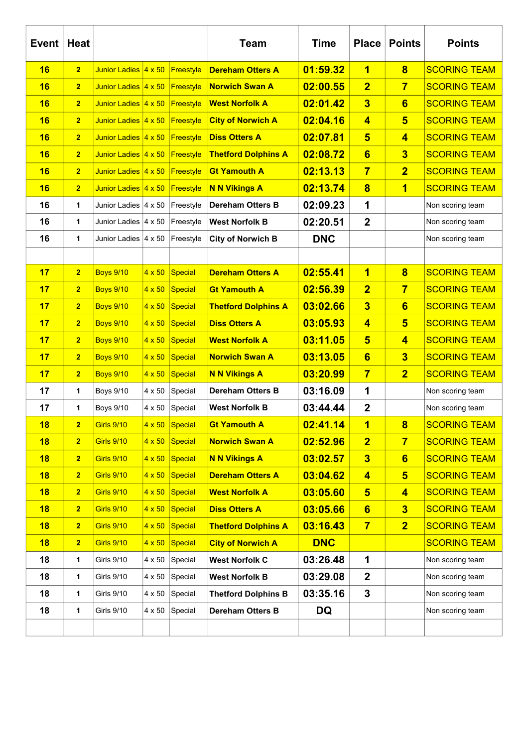| <b>Event</b> | Heat           |                              |               |                | <b>Team</b>                | <b>Time</b> | <b>Place</b>            | <b>Points</b>           | <b>Points</b>       |
|--------------|----------------|------------------------------|---------------|----------------|----------------------------|-------------|-------------------------|-------------------------|---------------------|
| 16           | $\overline{2}$ | Junior Ladies 4 x 50         |               | Freestyle      | <b>Dereham Otters A</b>    | 01:59.32    | 1                       | $\overline{\mathbf{8}}$ | <b>SCORING TEAM</b> |
| 16           | $\overline{2}$ | Junior Ladies 4 x 50         |               | Freestyle      | <b>Norwich Swan A</b>      | 02:00.55    | $\overline{2}$          | $\overline{7}$          | <b>SCORING TEAM</b> |
| 16           | $\overline{2}$ | Junior Ladies 4 x 50         |               | Freestyle      | <b>West Norfolk A</b>      | 02:01.42    | $\overline{\mathbf{3}}$ | 6                       | <b>SCORING TEAM</b> |
| 16           | $\overline{2}$ | Junior Ladies 4 x 50         |               | Freestyle      | <b>City of Norwich A</b>   | 02:04.16    | $\overline{\mathbf{4}}$ | $5\overline{5}$         | <b>SCORING TEAM</b> |
| 16           | $\overline{2}$ | Junior Ladies 4 x 50         |               | Freestyle      | <b>Diss Otters A</b>       | 02:07.81    | $5\overline{)}$         | $\overline{\mathbf{4}}$ | <b>SCORING TEAM</b> |
| 16           | $\overline{2}$ | Junior Ladies 4 x 50         |               | Freestyle      | <b>Thetford Dolphins A</b> | 02:08.72    | $6\phantom{1}$          | $\overline{\mathbf{3}}$ | <b>SCORING TEAM</b> |
| 16           | $\overline{2}$ | Junior Ladies 4 x 50         |               | Freestyle      | <b>Gt Yamouth A</b>        | 02:13.13    | $\overline{7}$          | $\overline{2}$          | <b>SCORING TEAM</b> |
| 16           | $\overline{2}$ | Junior Ladies 4 x 50         |               | Freestyle      | <b>N N Vikings A</b>       | 02:13.74    | $\overline{\mathbf{8}}$ | $\overline{\mathbf{1}}$ | <b>SCORING TEAM</b> |
| 16           | 1              | Junior Ladies $ 4 \times 50$ |               | Freestyle      | <b>Dereham Otters B</b>    | 02:09.23    | 1                       |                         | Non scoring team    |
| 16           | $\mathbf{1}$   | Junior Ladies $ 4 \times 50$ |               | Freestyle      | <b>West Norfolk B</b>      | 02:20.51    | $\mathbf{2}$            |                         | Non scoring team    |
| 16           | 1              | Junior Ladies $ 4 \times 50$ |               | Freestyle      | <b>City of Norwich B</b>   | <b>DNC</b>  |                         |                         | Non scoring team    |
|              |                |                              |               |                |                            |             |                         |                         |                     |
| 17           | $\overline{2}$ | <b>Boys 9/10</b>             | $4 \times 50$ | <b>Special</b> | <b>Dereham Otters A</b>    | 02:55.41    | 1                       | $\overline{\mathbf{8}}$ | <b>SCORING TEAM</b> |
| 17           | $\overline{2}$ | <b>Boys 9/10</b>             | $4 \times 50$ | <b>Special</b> | <b>Gt Yamouth A</b>        | 02:56.39    | $\overline{2}$          | $\overline{7}$          | <b>SCORING TEAM</b> |
| 17           | $\overline{2}$ | <b>Boys 9/10</b>             | $4 \times 50$ | <b>Special</b> | <b>Thetford Dolphins A</b> | 03:02.66    | $\overline{\mathbf{3}}$ | 6                       | <b>SCORING TEAM</b> |
| 17           | $\overline{2}$ | <b>Boys 9/10</b>             | $4 \times 50$ | <b>Special</b> | <b>Diss Otters A</b>       | 03:05.93    | $\overline{\mathbf{4}}$ | $5\overline{5}$         | <b>SCORING TEAM</b> |
| 17           | $\overline{2}$ | <b>Boys 9/10</b>             | $4 \times 50$ | <b>Special</b> | <b>West Norfolk A</b>      | 03:11.05    | $5\overline{)}$         | $\overline{\mathbf{4}}$ | <b>SCORING TEAM</b> |
| 17           | $\overline{2}$ | <b>Boys 9/10</b>             | $4 \times 50$ | <b>Special</b> | <b>Norwich Swan A</b>      | 03:13.05    | $6\phantom{1}$          | $\overline{\mathbf{3}}$ | <b>SCORING TEAM</b> |
| 17           | $\overline{2}$ | <b>Boys 9/10</b>             | $4 \times 50$ | <b>Special</b> | <b>N N Vikings A</b>       | 03:20.99    | $\overline{7}$          | $\overline{2}$          | <b>SCORING TEAM</b> |
| 17           | 1              | <b>Boys 9/10</b>             | 4 x 50        | Special        | <b>Dereham Otters B</b>    | 03:16.09    | 1                       |                         | Non scoring team    |
| 17           | 1              | <b>Boys 9/10</b>             | 4 x 50        | Special        | <b>West Norfolk B</b>      | 03:44.44    | $\mathbf 2$             |                         | Non scoring team    |
| <u> 18</u>   | $\mathbf{2}$   | <b>Girls 9/10</b>            | $4 \times 50$ | <b>Special</b> | <b>Gt Yamouth A</b>        | 02:41.14    | $\overline{\mathbf{1}}$ | $\overline{\mathbf{8}}$ | <u>SCORING TEAM</u> |
| 18           | $\overline{2}$ | <b>Girls 9/10</b>            | $4 \times 50$ | Special        | <b>Norwich Swan A</b>      | 02:52.96    | $\overline{2}$          | $\overline{7}$          | <b>SCORING TEAM</b> |
| 18           | $\overline{2}$ | <b>Girls 9/10</b>            | $4 \times 50$ | <b>Special</b> | <b>N N Vikings A</b>       | 03:02.57    | $\overline{\mathbf{3}}$ | $6\phantom{1}$          | <b>SCORING TEAM</b> |
| 18           | $\overline{2}$ | <b>Girls 9/10</b>            | $4 \times 50$ | <b>Special</b> | <b>Dereham Otters A</b>    | 03:04.62    | $\overline{\mathbf{4}}$ | $5\overline{)}$         | <b>SCORING TEAM</b> |
| 18           | $\overline{2}$ | <b>Girls 9/10</b>            | $4 \times 50$ | <b>Special</b> | <b>West Norfolk A</b>      | 03:05.60    | $5\phantom{1}$          | $\overline{\mathbf{4}}$ | <b>SCORING TEAM</b> |
| 18           | $\overline{2}$ | <b>Girls 9/10</b>            | $4 \times 50$ | <b>Special</b> | <b>Diss Otters A</b>       | 03:05.66    | $6\phantom{a}$          | $\overline{\mathbf{3}}$ | <b>SCORING TEAM</b> |
| 18           | $\overline{2}$ | <b>Girls 9/10</b>            | $4 \times 50$ | Special        | <b>Thetford Dolphins A</b> | 03:16.43    | $\overline{7}$          | $\overline{2}$          | <b>SCORING TEAM</b> |
| 18           | $\overline{2}$ | <b>Girls 9/10</b>            | $4 \times 50$ | Special        | <b>City of Norwich A</b>   | <b>DNC</b>  |                         |                         | <b>SCORING TEAM</b> |
| 18           | $\mathbf 1$    | <b>Girls 9/10</b>            | 4 x 50        | Special        | <b>West Norfolk C</b>      | 03:26.48    | 1                       |                         | Non scoring team    |
| 18           | 1              | <b>Girls 9/10</b>            | 4 x 50        | Special        | <b>West Norfolk B</b>      | 03:29.08    | $\overline{\mathbf{2}}$ |                         | Non scoring team    |
| 18           | 1              | <b>Girls 9/10</b>            | 4 x 50        | Special        | <b>Thetford Dolphins B</b> | 03:35.16    | 3                       |                         | Non scoring team    |
| 18           | 1              | Girls 9/10                   | 4 x 50        | Special        | <b>Dereham Otters B</b>    | <b>DQ</b>   |                         |                         | Non scoring team    |
|              |                |                              |               |                |                            |             |                         |                         |                     |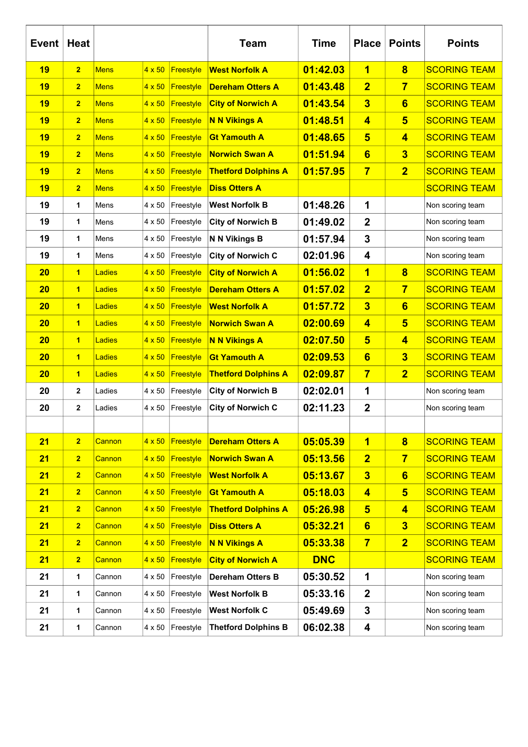| <b>Event</b> | <b>Heat</b>    |             |               |           | <b>Team</b>                | <b>Time</b> | <b>Place</b>            | <b>Points</b>           | <b>Points</b>       |
|--------------|----------------|-------------|---------------|-----------|----------------------------|-------------|-------------------------|-------------------------|---------------------|
| 19           | $\overline{2}$ | <b>Mens</b> | $4 \times 50$ | Freestyle | <b>West Norfolk A</b>      | 01:42.03    | 1                       | $\overline{\mathbf{8}}$ | <b>SCORING TEAM</b> |
| 19           | $\overline{2}$ | <b>Mens</b> | $4 \times 50$ | Freestyle | <b>Dereham Otters A</b>    | 01:43.48    | $\overline{2}$          | $\overline{7}$          | <b>SCORING TEAM</b> |
| 19           | $\overline{2}$ | <b>Mens</b> | $4 \times 50$ | Freestyle | <b>City of Norwich A</b>   | 01:43.54    | $\overline{\mathbf{3}}$ | $6\phantom{1}$          | <b>SCORING TEAM</b> |
| 19           | $\overline{2}$ | <b>Mens</b> | $4 \times 50$ | Freestyle | <b>N N Vikings A</b>       | 01:48.51    | $\overline{4}$          | $5\phantom{1}$          | <b>SCORING TEAM</b> |
| 19           | $\overline{2}$ | <b>Mens</b> | $4 \times 50$ | Freestyle | <b>Gt Yamouth A</b>        | 01:48.65    | $5\phantom{1}$          | $\overline{\mathbf{4}}$ | <b>SCORING TEAM</b> |
| 19           | $\overline{2}$ | <b>Mens</b> | $4 \times 50$ | Freestyle | <b>Norwich Swan A</b>      | 01:51.94    | 6                       | $\overline{\mathbf{3}}$ | <b>SCORING TEAM</b> |
| 19           | $\overline{2}$ | <b>Mens</b> | $4 \times 50$ | Freestyle | <b>Thetford Dolphins A</b> | 01:57.95    | $\overline{7}$          | $\overline{2}$          | <b>SCORING TEAM</b> |
| 19           | $\overline{2}$ | <b>Mens</b> | $4 \times 50$ | Freestyle | <b>Diss Otters A</b>       |             |                         |                         | <b>SCORING TEAM</b> |
| 19           | 1              | Mens        | 4 x 50        | Freestyle | <b>West Norfolk B</b>      | 01:48.26    | 1                       |                         | Non scoring team    |
| 19           | 1              | Mens        | 4 x 50        | Freestyle | <b>City of Norwich B</b>   | 01:49.02    | $\boldsymbol{2}$        |                         | Non scoring team    |
| 19           | 1              | Mens        | $4 \times 50$ | Freestyle | N N Vikings B              | 01:57.94    | 3                       |                         | Non scoring team    |
| 19           | 1              | Mens        | $4 \times 50$ | Freestyle | <b>City of Norwich C</b>   | 02:01.96    | $\overline{\mathbf{4}}$ |                         | Non scoring team    |
| 20           | $\overline{1}$ | Ladies      | $4 \times 50$ | Freestyle | <b>City of Norwich A</b>   | 01:56.02    | $\overline{\mathbf{1}}$ | $\overline{\mathbf{8}}$ | <b>SCORING TEAM</b> |
| 20           | 1              | Ladies      | $4 \times 50$ | Freestyle | <b>Dereham Otters A</b>    | 01:57.02    | $\overline{2}$          | $\overline{7}$          | <b>SCORING TEAM</b> |
| 20           | $\overline{1}$ | Ladies      | $4 \times 50$ | Freestyle | <b>West Norfolk A</b>      | 01:57.72    | $\overline{\mathbf{3}}$ | $6\phantom{1}$          | <b>SCORING TEAM</b> |
| 20           | $\overline{1}$ | Ladies      | $4 \times 50$ | Freestyle | <b>Norwich Swan A</b>      | 02:00.69    | $\overline{\mathbf{4}}$ | $5\overline{)}$         | <b>SCORING TEAM</b> |
| 20           | 1              | Ladies      | $4 \times 50$ | Freestyle | <b>N N Vikings A</b>       | 02:07.50    | $5\phantom{1}$          | $\overline{\mathbf{4}}$ | <b>SCORING TEAM</b> |
| 20           | 1              | Ladies      | $4 \times 50$ | Freestyle | <b>Gt Yamouth A</b>        | 02:09.53    | 6                       | $\overline{\mathbf{3}}$ | <b>SCORING TEAM</b> |
| 20           | $\overline{1}$ | Ladies      | $4 \times 50$ | Freestyle | <b>Thetford Dolphins A</b> | 02:09.87    | $\overline{7}$          | $\overline{2}$          | <b>SCORING TEAM</b> |
| 20           | $\mathbf{2}$   | Ladies      | 4 x 50        | Freestyle | <b>City of Norwich B</b>   | 02:02.01    | 1                       |                         | Non scoring team    |
| 20           | $\mathbf{2}$   | Ladies      | 4 x 50        | Freestyle | <b>City of Norwich C</b>   | 02:11.23    | $\boldsymbol{2}$        |                         | Non scoring team    |
|              |                |             |               |           |                            |             |                         |                         |                     |
| 21           | $\overline{2}$ | Cannon      | $4 \times 50$ | Freestyle | <b>Dereham Otters A</b>    | 05:05.39    | 1                       | $\overline{\mathbf{8}}$ | <b>SCORING TEAM</b> |
| 21           | $\overline{2}$ | Cannon      | $4 \times 50$ | Freestyle | <b>Norwich Swan A</b>      | 05:13.56    | $\overline{2}$          | $\overline{7}$          | <b>SCORING TEAM</b> |
| 21           | $\overline{2}$ | Cannon      | $4 \times 50$ | Freestyle | <b>West Norfolk A</b>      | 05:13.67    | $\overline{\mathbf{3}}$ | $6\phantom{a}$          | <b>SCORING TEAM</b> |
| 21           | $\overline{2}$ | Cannon      | $4 \times 50$ | Freestyle | <b>Gt Yamouth A</b>        | 05:18.03    | $\overline{\mathbf{4}}$ | $5\phantom{1}$          | <b>SCORING TEAM</b> |
| 21           | $\overline{2}$ | Cannon      | $4 \times 50$ | Freestyle | <b>Thetford Dolphins A</b> | 05:26.98    | $5\overline{)}$         | $\overline{\mathbf{4}}$ | <b>SCORING TEAM</b> |
| 21           | $\overline{2}$ | Cannon      | $4 \times 50$ | Freestyle | <b>Diss Otters A</b>       | 05:32.21    | $6\phantom{a}$          | $\overline{\mathbf{3}}$ | <b>SCORING TEAM</b> |
| 21           | $\overline{2}$ | Cannon      | $4 \times 50$ | Freestyle | <b>N N Vikings A</b>       | 05:33.38    | $\overline{7}$          | $\overline{2}$          | <b>SCORING TEAM</b> |
| 21           | $\overline{2}$ | Cannon      | $4 \times 50$ | Freestyle | <b>City of Norwich A</b>   | <b>DNC</b>  |                         |                         | <b>SCORING TEAM</b> |
| 21           | 1              | Cannon      | 4 x 50        | Freestyle | <b>Dereham Otters B</b>    | 05:30.52    | 1                       |                         | Non scoring team    |
| 21           | 1              | Cannon      | 4 x 50        | Freestyle | <b>West Norfolk B</b>      | 05:33.16    | $\boldsymbol{2}$        |                         | Non scoring team    |
| 21           | 1              | Cannon      | 4 x 50        | Freestyle | <b>West Norfolk C</b>      | 05:49.69    | 3                       |                         | Non scoring team    |
| 21           | 1              | Cannon      | 4 x 50        | Freestyle | <b>Thetford Dolphins B</b> | 06:02.38    | 4                       |                         | Non scoring team    |